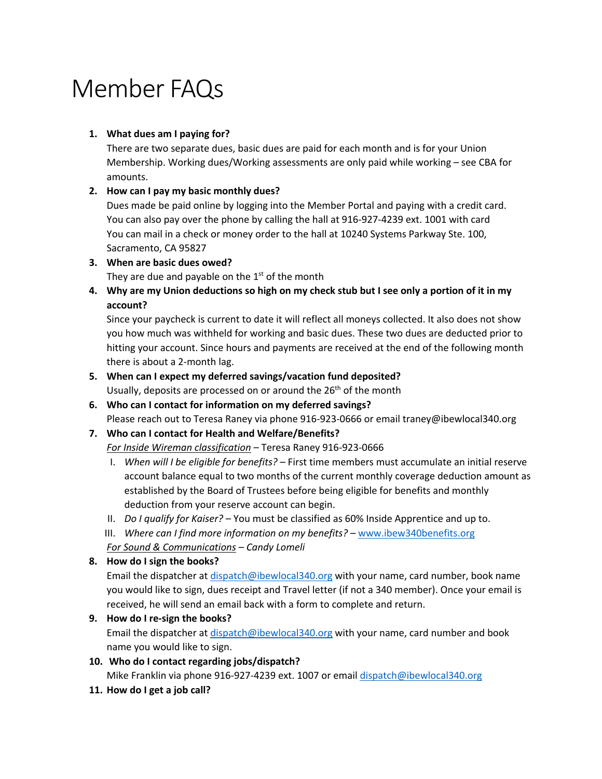# Member FAQs

## **1. What dues am I paying for?**

There are two separate dues, basic dues are paid for each month and is for your Union Membership. Working dues/Working assessments are only paid while working – see CBA for amounts.

## **2. How can I pay my basic monthly dues?**

Dues made be paid online by logging into the Member Portal and paying with a credit card. You can also pay over the phone by calling the hall at 916-927-4239 ext. 1001 with card You can mail in a check or money order to the hall at 10240 Systems Parkway Ste. 100, Sacramento, CA 95827

**3. When are basic dues owed?**

They are due and payable on the  $1<sup>st</sup>$  of the month

**4. Why are my Union deductions so high on my check stub but I see only a portion of it in my account?**

Since your paycheck is current to date it will reflect all moneys collected. It also does not show you how much was withheld for working and basic dues. These two dues are deducted prior to hitting your account. Since hours and payments are received at the end of the following month there is about a 2-month lag.

- **5. When can I expect my deferred savings/vacation fund deposited?** Usually, deposits are processed on or around the  $26<sup>th</sup>$  of the month
- **6. Who can I contact for information on my deferred savings?** Please reach out to Teresa Raney via phone 916-923-0666 or email traney@ibewlocal340.org

# **7. Who can I contact for Health and Welfare/Benefits?**

*For Inside Wireman classification* – Teresa Raney 916-923-0666

- I. *When will I be eligible for benefits?* First time members must accumulate an initial reserve account balance equal to two months of the current monthly coverage deduction amount as established by the Board of Trustees before being eligible for benefits and monthly deduction from your reserve account can begin.
- II. *Do I qualify for Kaiser?* You must be classified as 60% Inside Apprentice and up to.
- III. *Where can I find more information on my benefits?* www.ibew340benefits.org

*For Sound & Communications – Candy Lomeli*

# **8. How do I sign the books?**

Email the dispatcher at dispatch@ibewlocal340.org with your name, card number, book name you would like to sign, dues receipt and Travel letter (if not a 340 member). Once your email is received, he will send an email back with a form to complete and return.

# **9. How do I re-sign the books?**

Email the dispatcher at dispatch@ibewlocal340.org with your name, card number and book name you would like to sign.

- **10. Who do I contact regarding jobs/dispatch?** Mike Franklin via phone 916-927-4239 ext. 1007 or email dispatch@ibewlocal340.org
- **11. How do I get a job call?**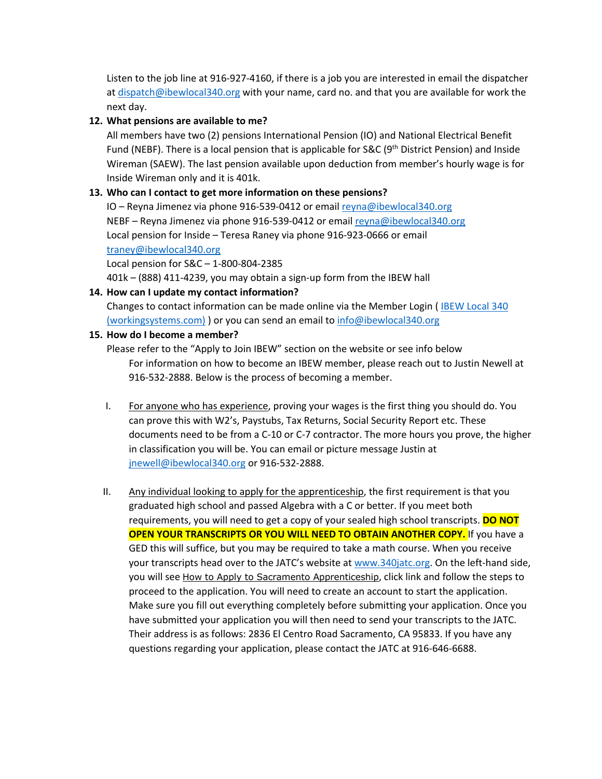Listen to the job line at 916-927-4160, if there is a job you are interested in email the dispatcher at dispatch@ibewlocal340.org with your name, card no. and that you are available for work the next day.

### **12. What pensions are available to me?**

All members have two (2) pensions International Pension (IO) and National Electrical Benefit Fund (NEBF). There is a local pension that is applicable for S&C ( $9<sup>th</sup>$  District Pension) and Inside Wireman (SAEW). The last pension available upon deduction from member's hourly wage is for Inside Wireman only and it is 401k.

### **13. Who can I contact to get more information on these pensions?**

IO – Reyna Jimenez via phone 916-539-0412 or email reyna@ibewlocal340.org NEBF – Reyna Jimenez via phone 916-539-0412 or email reyna@ibewlocal340.org Local pension for Inside – Teresa Raney via phone 916-923-0666 or email traney@ibewlocal340.org

Local pension for S&C – 1-800-804-2385

401k – (888) 411-4239, you may obtain a sign-up form from the IBEW hall

#### **14. How can I update my contact information?**

Changes to contact information can be made online via the Member Login (IBEW Local 340 (workingsystems.com) ) or you can send an email to info@ibewlocal340.org

#### **15. How do I become a member?**

- Please refer to the "Apply to Join IBEW" section on the website or see info below For information on how to become an IBEW member, please reach out to Justin Newell at 916-532-2888. Below is the process of becoming a member.
- I. For anyone who has experience, proving your wages is the first thing you should do. You can prove this with W2's, Paystubs, Tax Returns, Social Security Report etc. These documents need to be from a C-10 or C-7 contractor. The more hours you prove, the higher in classification you will be. You can email or picture message Justin at jnewell@ibewlocal340.org or 916-532-2888.
- II. Any individual looking to apply for the apprenticeship, the first requirement is that you graduated high school and passed Algebra with a C or better. If you meet both requirements, you will need to get a copy of your sealed high school transcripts. **DO NOT OPEN YOUR TRANSCRIPTS OR YOU WILL NEED TO OBTAIN ANOTHER COPY.** If you have a GED this will suffice, but you may be required to take a math course. When you receive your transcripts head over to the JATC's website at www.340jatc.org. On the left-hand side, you will see How to Apply to Sacramento Apprenticeship, click link and follow the steps to proceed to the application. You will need to create an account to start the application. Make sure you fill out everything completely before submitting your application. Once you have submitted your application you will then need to send your transcripts to the JATC. Their address is as follows: 2836 El Centro Road Sacramento, CA 95833. If you have any questions regarding your application, please contact the JATC at 916-646-6688.